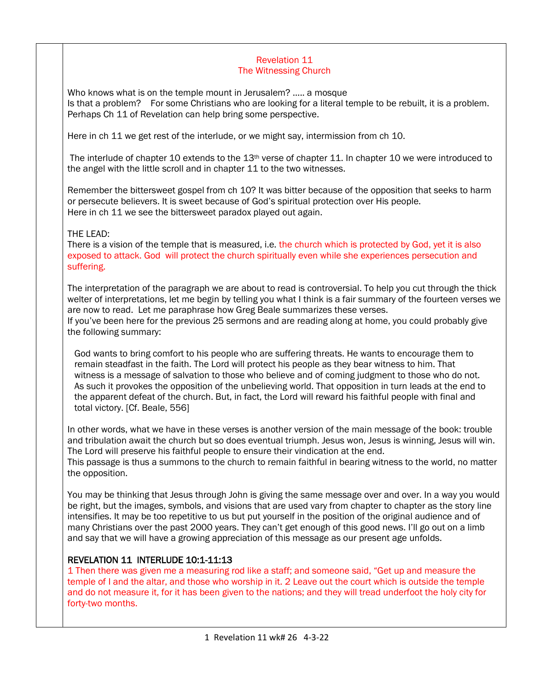#### Revelation 11 The Witnessing Church

Who knows what is on the temple mount in Jerusalem? ….. a mosque Is that a problem? For some Christians who are looking for a literal temple to be rebuilt, it is a problem. Perhaps Ch 11 of Revelation can help bring some perspective.

Here in ch 11 we get rest of the interlude, or we might say, intermission from ch 10.

The interlude of chapter 10 extends to the 13th verse of chapter 11. In chapter 10 we were introduced to the angel with the little scroll and in chapter 11 to the two witnesses.

Remember the bittersweet gospel from ch 10? It was bitter because of the opposition that seeks to harm or persecute believers. It is sweet because of God's spiritual protection over His people. Here in ch 11 we see the bittersweet paradox played out again.

# THE LEAD:

There is a vision of the temple that is measured, i.e. the church which is protected by God, yet it is also exposed to attack. God will protect the church spiritually even while she experiences persecution and suffering.

The interpretation of the paragraph we are about to read is controversial. To help you cut through the thick welter of interpretations, let me begin by telling you what I think is a fair summary of the fourteen verses we are now to read. Let me paraphrase how Greg Beale summarizes these verses. If you've been here for the previous 25 sermons and are reading along at home, you could probably give the following summary:

God wants to bring comfort to his people who are suffering threats. He wants to encourage them to remain steadfast in the faith. The Lord will protect his people as they bear witness to him. That witness is a message of salvation to those who believe and of coming judgment to those who do not. As such it provokes the opposition of the unbelieving world. That opposition in turn leads at the end to the apparent defeat of the church. But, in fact, the Lord will reward his faithful people with final and total victory. [Cf. Beale, 556]

In other words, what we have in these verses is another version of the main message of the book: trouble and tribulation await the church but so does eventual triumph. Jesus won, Jesus is winning, Jesus will win. The Lord will preserve his faithful people to ensure their vindication at the end. This passage is thus a summons to the church to remain faithful in bearing witness to the world, no matter the opposition.

You may be thinking that Jesus through John is giving the same message over and over. In a way you would be right, but the images, symbols, and visions that are used vary from chapter to chapter as the story line intensifies. It may be too repetitive to us but put yourself in the position of the original audience and of many Christians over the past 2000 years. They can't get enough of this good news. I'll go out on a limb and say that we will have a growing appreciation of this message as our present age unfolds.

# REVELATION 11 INTERLUDE 10:1-11:13

1 Then there was given me a measuring rod like a staff; and someone said, "Get up and measure the temple of I and the altar, and those who worship in it. 2 Leave out the court which is outside the temple and do not measure it, for it has been given to the nations; and they will tread underfoot the holy city for forty-two months.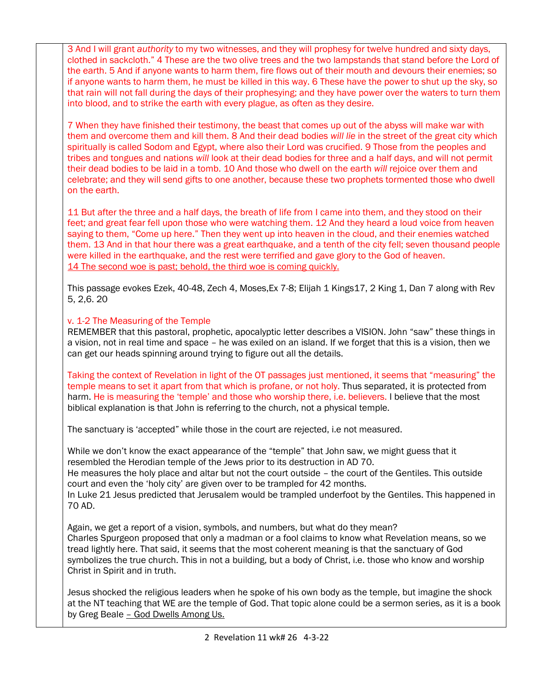3 And I will grant *authority* to my two witnesses, and they will prophesy for twelve hundred and sixty days, clothed in sackcloth." 4 These are the two olive trees and the two lampstands that stand before the Lord of the earth. 5 And if anyone wants to harm them, fire flows out of their mouth and devours their enemies; so if anyone wants to harm them, he must be killed in this way. 6 These have the power to shut up the sky, so that rain will not fall during the days of their prophesying; and they have power over the waters to turn them into blood, and to strike the earth with every plague, as often as they desire.

7 When they have finished their testimony, the beast that comes up out of the abyss will make war with them and overcome them and kill them. 8 And their dead bodies *will lie* in the street of the great city which spiritually is called Sodom and Egypt, where also their Lord was crucified. 9 Those from the peoples and tribes and tongues and nations *will* look at their dead bodies for three and a half days, and will not permit their dead bodies to be laid in a tomb. 10 And those who dwell on the earth *will* rejoice over them and celebrate; and they will send gifts to one another, because these two prophets tormented those who dwell on the earth.

11 But after the three and a half days, the breath of life from I came into them, and they stood on their feet; and great fear fell upon those who were watching them. 12 And they heard a loud voice from heaven saying to them, "Come up here." Then they went up into heaven in the cloud, and their enemies watched them. 13 And in that hour there was a great earthquake, and a tenth of the city fell; seven thousand people were killed in the earthquake, and the rest were terrified and gave glory to the God of heaven. 14 The second woe is past; behold, the third woe is coming quickly.

This passage evokes Ezek, 40-48, Zech 4, Moses,Ex 7-8; Elijah 1 Kings17, 2 King 1, Dan 7 along with Rev 5, 2,6. 20

## v. 1-2 The Measuring of the Temple

REMEMBER that this pastoral, prophetic, apocalyptic letter describes a VISION. John "saw" these things in a vision, not in real time and space – he was exiled on an island. If we forget that this is a vision, then we can get our heads spinning around trying to figure out all the details.

Taking the context of Revelation in light of the OT passages just mentioned, it seems that "measuring" the temple means to set it apart from that which is profane, or not holy. Thus separated, it is protected from harm. He is measuring the 'temple' and those who worship there, i.e. believers. I believe that the most biblical explanation is that John is referring to the church, not a physical temple.

The sanctuary is 'accepted" while those in the court are rejected, i.e not measured.

While we don't know the exact appearance of the "temple" that John saw, we might guess that it resembled the Herodian temple of the Jews prior to its destruction in AD 70.

He measures the holy place and altar but not the court outside – the court of the Gentiles. This outside court and even the 'holy city' are given over to be trampled for 42 months.

In Luke 21 Jesus predicted that Jerusalem would be trampled underfoot by the Gentiles. This happened in 70 AD.

Again, we get a report of a vision, symbols, and numbers, but what do they mean? Charles Spurgeon proposed that only a madman or a fool claims to know what Revelation means, so we tread lightly here. That said, it seems that the most coherent meaning is that the sanctuary of God symbolizes the true church. This in not a building, but a body of Christ, i.e. those who know and worship Christ in Spirit and in truth.

Jesus shocked the religious leaders when he spoke of his own body as the temple, but imagine the shock at the NT teaching that WE are the temple of God. That topic alone could be a sermon series, as it is a book by Greg Beale – God Dwells Among Us.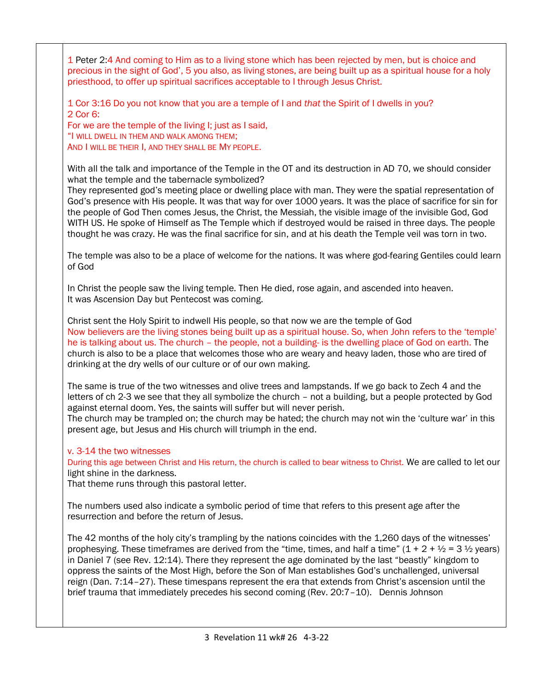1 Peter 2:4 And coming to Him as to a living stone which has been rejected by men, but is choice and precious in the sight of God', 5 you also, as living stones, are being built up as a spiritual house for a holy priesthood, to offer up spiritual sacrifices acceptable to I through Jesus Christ.

1 Cor 3:16 Do you not know that you are a temple of I and *that* the Spirit of I dwells in you? 2 Cor 6:

For we are the temple of the living I; just as I said, "I WILL DWELL IN THEM AND WALK AMONG THEM; AND I WILL BE THEIR I, AND THEY SHALL BE MY PEOPLE.

With all the talk and importance of the Temple in the OT and its destruction in AD 70, we should consider what the temple and the tabernacle symbolized?

They represented god's meeting place or dwelling place with man. They were the spatial representation of God's presence with His people. It was that way for over 1000 years. It was the place of sacrifice for sin for the people of God Then comes Jesus, the Christ, the Messiah, the visible image of the invisible God, God WITH US. He spoke of Himself as The Temple which if destroyed would be raised in three days. The people thought he was crazy. He was the final sacrifice for sin, and at his death the Temple veil was torn in two.

The temple was also to be a place of welcome for the nations. It was where god-fearing Gentiles could learn of God

In Christ the people saw the living temple. Then He died, rose again, and ascended into heaven. It was Ascension Day but Pentecost was coming.

Christ sent the Holy Spirit to indwell His people, so that now we are the temple of God Now believers are the living stones being built up as a spiritual house. So, when John refers to the 'temple' he is talking about us. The church – the people, not a building- is the dwelling place of God on earth. The church is also to be a place that welcomes those who are weary and heavy laden, those who are tired of drinking at the dry wells of our culture or of our own making.

The same is true of the two witnesses and olive trees and lampstands. If we go back to Zech 4 and the letters of ch 2-3 we see that they all symbolize the church – not a building, but a people protected by God against eternal doom. Yes, the saints will suffer but will never perish.

The church may be trampled on; the church may be hated; the church may not win the 'culture war' in this present age, but Jesus and His church will triumph in the end.

### v. 3-14 the two witnesses

During this age between Christ and His return, the church is called to bear witness to Christ. We are called to let our light shine in the darkness.

That theme runs through this pastoral letter.

The numbers used also indicate a symbolic period of time that refers to this present age after the resurrection and before the return of Jesus.

The 42 months of the holy city's trampling by the nations coincides with the 1,260 days of the witnesses' prophesying. These timeframes are derived from the "time, times, and half a time" ( $1 + 2 + \frac{1}{2} = 3 \frac{1}{2}$  years) in Daniel 7 (see Rev. 12:14). There they represent the age dominated by the last "beastly" kingdom to oppress the saints of the Most High, before the Son of Man establishes God's unchallenged, universal reign (Dan. 7:14–27). These timespans represent the era that extends from Christ's ascension until the brief trauma that immediately precedes his second coming (Rev. 20:7–10). Dennis Johnson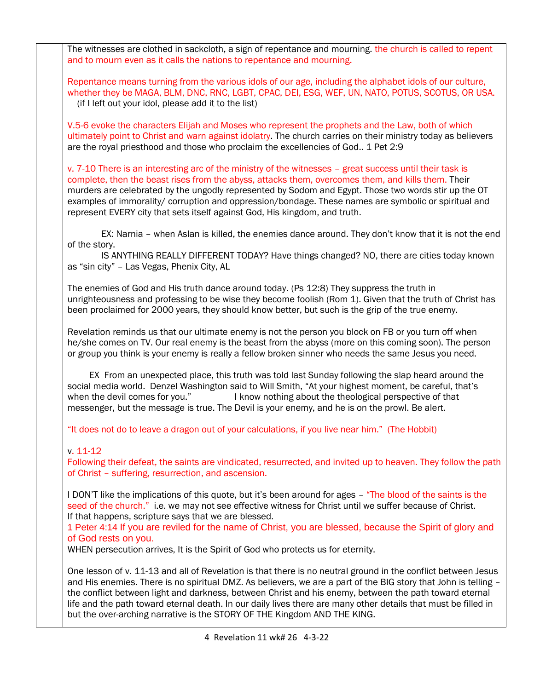The witnesses are clothed in sackcloth, a sign of repentance and mourning, the church is called to repent and to mourn even as it calls the nations to repentance and mourning.

Repentance means turning from the various idols of our age, including the alphabet idols of our culture, whether they be MAGA, BLM, DNC, RNC, LGBT, CPAC, DEI, ESG, WEF, UN, NATO, POTUS, SCOTUS, OR USA. (if I left out your idol, please add it to the list)

V.5-6 evoke the characters Elijah and Moses who represent the prophets and the Law, both of which ultimately point to Christ and warn against idolatry. The church carries on their ministry today as believers are the royal priesthood and those who proclaim the excellencies of God.. 1 Pet 2:9

v. 7-10 There is an interesting arc of the ministry of the witnesses – great success until their task is complete, then the beast rises from the abyss, attacks them, overcomes them, and kills them. Their murders are celebrated by the ungodly represented by Sodom and Egypt. Those two words stir up the OT examples of immorality/ corruption and oppression/bondage. These names are symbolic or spiritual and represent EVERY city that sets itself against God, His kingdom, and truth.

 EX: Narnia – when Aslan is killed, the enemies dance around. They don't know that it is not the end of the story.

 IS ANYTHING REALLY DIFFERENT TODAY? Have things changed? NO, there are cities today known as "sin city" – Las Vegas, Phenix City, AL

The enemies of God and His truth dance around today. (Ps 12:8) They suppress the truth in unrighteousness and professing to be wise they become foolish (Rom 1). Given that the truth of Christ has been proclaimed for 2000 years, they should know better, but such is the grip of the true enemy.

Revelation reminds us that our ultimate enemy is not the person you block on FB or you turn off when he/she comes on TV. Our real enemy is the beast from the abyss (more on this coming soon). The person or group you think is your enemy is really a fellow broken sinner who needs the same Jesus you need.

 EX From an unexpected place, this truth was told last Sunday following the slap heard around the social media world. Denzel Washington said to Will Smith, "At your highest moment, be careful, that's when the devil comes for you." I know nothing about the theological perspective of that messenger, but the message is true. The Devil is your enemy, and he is on the prowl. Be alert.

"It does not do to leave a dragon out of your calculations, if you live near him." (The Hobbit)

### v. 11-12

Following their defeat, the saints are vindicated, resurrected, and invited up to heaven. They follow the path of Christ – suffering, resurrection, and ascension.

I DON'T like the implications of this quote, but it's been around for ages – "The blood of the saints is the seed of the church." i.e. we may not see effective witness for Christ until we suffer because of Christ. If that happens, scripture says that we are blessed.

1 Peter 4:14 If you are reviled for the name of Christ, you are blessed, because the Spirit of glory and of God rests on you.

WHEN persecution arrives, It is the Spirit of God who protects us for eternity.

One lesson of v. 11-13 and all of Revelation is that there is no neutral ground in the conflict between Jesus and His enemies. There is no spiritual DMZ. As believers, we are a part of the BIG story that John is telling – the conflict between light and darkness, between Christ and his enemy, between the path toward eternal life and the path toward eternal death. In our daily lives there are many other details that must be filled in but the over-arching narrative is the STORY OF THE Kingdom AND THE KING.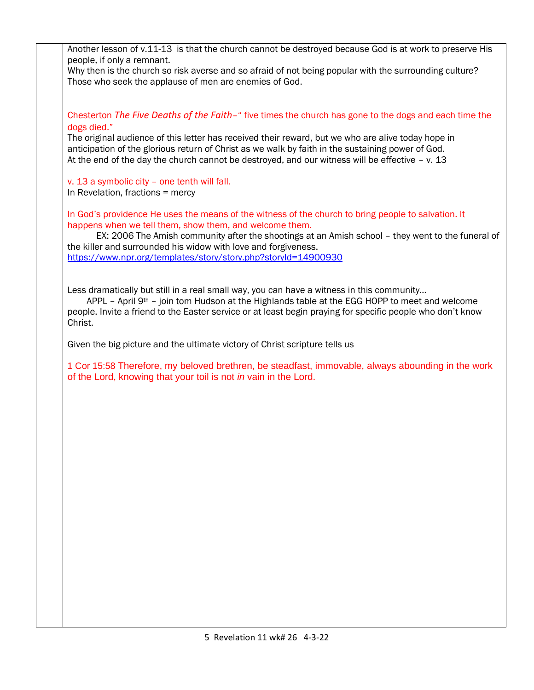| Another lesson of v.11-13 is that the church cannot be destroyed because God is at work to preserve His<br>people, if only a remnant.<br>Why then is the church so risk averse and so afraid of not being popular with the surrounding culture?<br>Those who seek the applause of men are enemies of God.                             |
|---------------------------------------------------------------------------------------------------------------------------------------------------------------------------------------------------------------------------------------------------------------------------------------------------------------------------------------|
|                                                                                                                                                                                                                                                                                                                                       |
| Chesterton The Five Deaths of the Faith-" five times the church has gone to the dogs and each time the<br>dogs died."                                                                                                                                                                                                                 |
| The original audience of this letter has received their reward, but we who are alive today hope in<br>anticipation of the glorious return of Christ as we walk by faith in the sustaining power of God.<br>At the end of the day the church cannot be destroyed, and our witness will be effective $- v$ . 13                         |
| v. 13 a symbolic city - one tenth will fall.<br>In Revelation, fractions = mercy                                                                                                                                                                                                                                                      |
| In God's providence He uses the means of the witness of the church to bring people to salvation. It<br>happens when we tell them, show them, and welcome them.<br>EX: 2006 The Amish community after the shootings at an Amish school - they went to the funeral of<br>the killer and surrounded his widow with love and forgiveness. |
| https://www.npr.org/templates/story/story.php?storyId=14900930                                                                                                                                                                                                                                                                        |
| Less dramatically but still in a real small way, you can have a witness in this community<br>APPL - April $9th$ - join tom Hudson at the Highlands table at the EGG HOPP to meet and welcome<br>people. Invite a friend to the Easter service or at least begin praying for specific people who don't know<br>Christ.                 |
| Given the big picture and the ultimate victory of Christ scripture tells us                                                                                                                                                                                                                                                           |
| 1 Cor 15:58 Therefore, my beloved brethren, be steadfast, immovable, always abounding in the work<br>of the Lord, knowing that your toil is not in vain in the Lord.                                                                                                                                                                  |
|                                                                                                                                                                                                                                                                                                                                       |
|                                                                                                                                                                                                                                                                                                                                       |
|                                                                                                                                                                                                                                                                                                                                       |
|                                                                                                                                                                                                                                                                                                                                       |
|                                                                                                                                                                                                                                                                                                                                       |
|                                                                                                                                                                                                                                                                                                                                       |
|                                                                                                                                                                                                                                                                                                                                       |